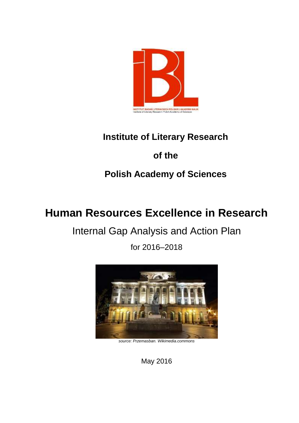

## **Institute of Literary Research**

## **of the**

# **Polish Academy of Sciences**

# **Human Resources Excellence in Research**

# Internal Gap Analysis and Action Plan

for 2016–2018



*source: Przemasban. Wikimedia.commons* 

May 2016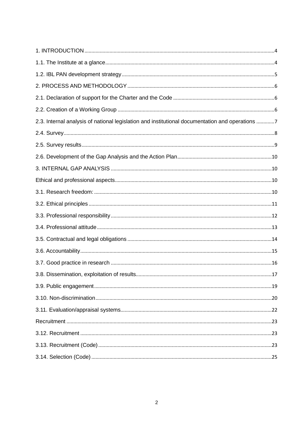| 2.3. Internal analysis of national legislation and institutional documentation and operations 7 |  |
|-------------------------------------------------------------------------------------------------|--|
|                                                                                                 |  |
|                                                                                                 |  |
|                                                                                                 |  |
|                                                                                                 |  |
|                                                                                                 |  |
|                                                                                                 |  |
|                                                                                                 |  |
|                                                                                                 |  |
|                                                                                                 |  |
|                                                                                                 |  |
|                                                                                                 |  |
|                                                                                                 |  |
|                                                                                                 |  |
|                                                                                                 |  |
|                                                                                                 |  |
|                                                                                                 |  |
|                                                                                                 |  |
|                                                                                                 |  |
|                                                                                                 |  |
|                                                                                                 |  |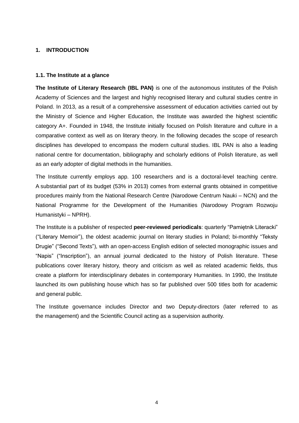## <span id="page-3-0"></span>**1. INTRODUCTION**

## <span id="page-3-1"></span>**1.1. The Institute at a glance**

**The Institute of Literary Research (IBL PAN)** is one of the autonomous institutes of the Polish Academy of Sciences and the largest and highly recognised literary and cultural studies centre in Poland. In 2013, as a result of a comprehensive assessment of education activities carried out by the Ministry of Science and Higher Education, the Institute was awarded the highest scientific category A+. Founded in 1948, the Institute initially focused on Polish literature and culture in a comparative context as well as on literary theory. In the following decades the scope of research disciplines has developed to encompass the modern cultural studies. IBL PAN is also a leading national centre for documentation, bibliography and scholarly editions of Polish literature, as well as an early adopter of digital methods in the humanities.

The Institute currently employs app. 100 researchers and is a doctoral-level teaching centre. A substantial part of its budget (53% in 2013) comes from external grants obtained in competitive procedures mainly from the National Research Centre (Narodowe Centrum Nauki – NCN) and the National Programme for the Development of the Humanities (Narodowy Program Rozwoju Humanistyki – NPRH).

The Institute is a publisher of respected **peer-reviewed periodicals**: quarterly "Pamiętnik Literacki" ("Literary Memoir"), the oldest academic journal on literary studies in Poland; bi-monthly "Teksty Drugie" ("Second Texts"), with an open-access English edition of selected monographic issues and "Napis" ("Inscription"), an annual journal dedicated to the history of Polish literature. These publications cover literary history, theory and criticism as well as related academic fields, thus create a platform for interdisciplinary debates in contemporary Humanities. In 1990, the Institute launched its own publishing house which has so far published over 500 titles both for academic and general public.

The Institute governance includes Director and two Deputy-directors (later referred to as the management) and the Scientific Council acting as a supervision authority.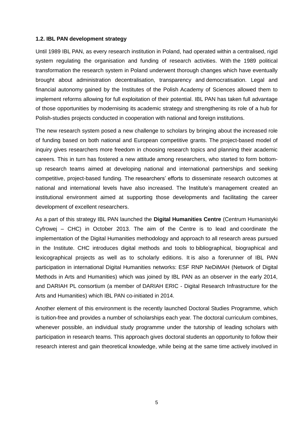#### <span id="page-4-0"></span>**1.2. IBL PAN development strategy**

Until 1989 IBL PAN, as every research institution in Poland, had operated within a centralised, rigid system regulating the organisation and funding of research activities. With the 1989 political transformation the research system in Poland underwent thorough changes which have eventually brought about administration decentralisation, transparency and democratisation. Legal and financial autonomy gained by the Institutes of the Polish Academy of Sciences allowed them to implement reforms allowing for full exploitation of their potential. IBL PAN has taken full advantage of those opportunities by modernising its academic strategy and strengthening its role of a hub for Polish-studies projects conducted in cooperation with national and foreign institutions.

The new research system posed a new challenge to scholars by bringing about the increased role of funding based on both national and European competitive grants. The project-based model of inquiry gives researchers more freedom in choosing research topics and planning their academic careers. This in turn has fostered a new attitude among researchers, who started to form bottomup research teams aimed at developing national and international partnerships and seeking competitive, project-based funding. The researchers' efforts to disseminate research outcomes at national and international levels have also increased. The Institute's management created an institutional environment aimed at supporting those developments and facilitating the career development of excellent researchers.

As a part of this strategy IBL PAN launched the **Digital Humanities Centre** (Centrum Humanistyki Cyfrowej – CHC) in October 2013. The aim of the Centre is to lead and coordinate the implementation of the Digital Humanities methodology and approach to all research areas pursued in the Institute. CHC introduces digital methods and tools to bibliographical, biographical and lexicographical projects as well as to scholarly editions. It is also a forerunner of IBL PAN participation in international Digital Humanities networks: ESF RNP NeDiMAH (Network of Digital Methods in Arts and Humanities) which was joined by IBL PAN as an observer in the early 2014, and DARIAH PL consortium (a member of DARIAH ERIC - Digital Research Infrastructure for the Arts and Humanities) which IBL PAN co-initiated in 2014.

Another element of this environment is the recently launched Doctoral Studies Programme, which is tuition-free and provides a number of scholarships each year. The doctoral curriculum combines, whenever possible, an individual study programme under the tutorship of leading scholars with participation in research teams. This approach gives doctoral students an opportunity to follow their research interest and gain theoretical knowledge, while being at the same time actively involved in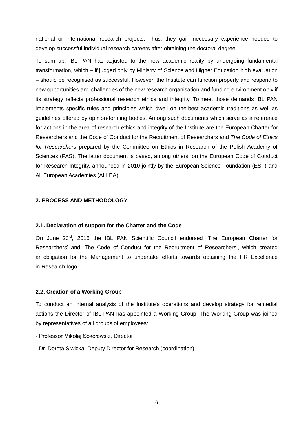national or international research projects. Thus, they gain necessary experience needed to develop successful individual research careers after obtaining the doctoral degree.

To sum up, IBL PAN has adjusted to the new academic reality by undergoing fundamental transformation, which – if judged only by Ministry of Science and Higher Education high evaluation – should be recognised as successful. However, the Institute can function properly and respond to new opportunities and challenges of the new research organisation and funding environment only if its strategy reflects professional research ethics and integrity. To meet those demands IBL PAN implements specific rules and principles which dwell on the best academic traditions as well as guidelines offered by opinion-forming bodies. Among such documents which serve as a reference for actions in the area of research ethics and integrity of the Institute are the European Charter for Researchers and the Code of Conduct for the Recruitment of Researchers and *The Code of Ethics for Researchers* prepared by the Committee on Ethics in Research of the Polish Academy of Sciences (PAS). The latter document is based, among others, on the European Code of Conduct for Research Integrity, announced in 2010 jointly by the European Science Foundation (ESF) and All European Academies (ALLEA).

## <span id="page-5-0"></span>**2. PROCESS AND METHODOLOGY**

#### <span id="page-5-1"></span>**2.1. Declaration of support for the Charter and the Code**

On June 23<sup>rd</sup>, 2015 the IBL PAN Scientific Council endorsed 'The European Charter for Researchers' and 'The Code of Conduct for the Recruitment of Researchers', which created an obligation for the Management to undertake efforts towards obtaining the HR Excellence in Research logo.

## <span id="page-5-2"></span>**2.2. Creation of a Working Group**

To conduct an internal analysis of the Institute's operations and develop strategy for remedial actions the Director of IBL PAN has appointed a Working Group. The Working Group was joined by representatives of all groups of employees:

- Professor Mikołaj Sokołowski, Director
- Dr. Dorota Siwicka, Deputy Director for Research (coordination)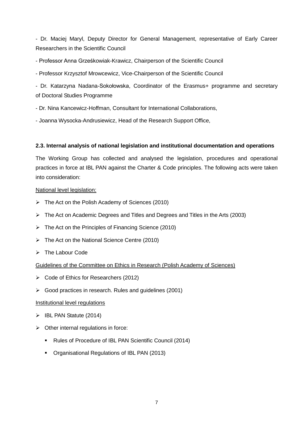- Dr. Maciej Maryl, Deputy Director for General Management, representative of Early Career Researchers in the Scientific Council

- Professor Anna Grześkowiak-Krawicz, Chairperson of the Scientific Council

- Professor Krzysztof Mrowcewicz, Vice-Chairperson of the Scientific Council

- Dr. Katarzyna Nadana-Sokołowska, Coordinator of the Erasmus+ programme and secretary of Doctoral Studies Programme

- Dr. Nina Kancewicz-Hoffman, Consultant for International Collaborations,

- Joanna Wysocka-Andrusiewicz, Head of the Research Support Office,

## <span id="page-6-0"></span>**2.3. Internal analysis of national legislation and institutional documentation and operations**

The Working Group has collected and analysed the legislation, procedures and operational practices in force at IBL PAN against the Charter & Code principles. The following acts were taken into consideration:

## National level legislation:

- The Act on the Polish Academy of Sciences (2010)
- The Act on Academic Degrees and Titles and Degrees and Titles in the Arts (2003)
- $\triangleright$  Th[e Act on the Principles of Financing Science](http://www.nauka.gov.pl/g2/oryginal/2013_05/26574a32e5351daaf4c1bcd0bcab48b1.pdf) (2010)
- Th[e Act on the National Science Centre](http://www.nauka.gov.pl/g2/oryginal/2013_05/83d60572b6d60c1fb0e92a7023cf996a.pdf) (2010)
- $\triangleright$  The Labour Code

## Guidelines of the Committee on Ethics in Research (Polish Academy of Sciences)

- Code of Ethics for Researchers (2012)
- Good practices in research. Rules and guidelines (2001)

## Institutional level regulations

- $\triangleright$  IBL PAN Statute (2014)
- $\triangleright$  Other internal regulations in force:
	- Rules of Procedure of IBL PAN Scientific Council (2014)
	- Organisational Regulations of IBL PAN (2013)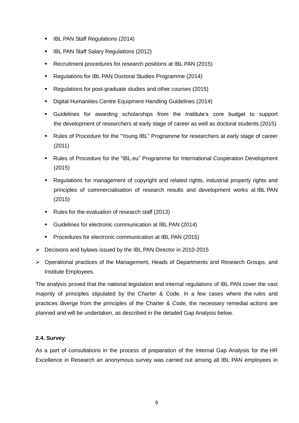- **IBL PAN Staff Regulations (2014)**
- **IBL PAN Staff Salary Regulations (2012)**
- Recruitment procedures for research positions at IBL PAN (2015)
- Regulations for IBL PAN Doctoral Studies Programme (2014)
- Regulations for post-graduate studies and other courses (2015)
- **Digital Humanities Centre Equipment Handling Guidelines (2014)**
- Guidelines for awarding scholarships from the Institute's core budget to support the development of researchers at early stage of career as well as doctoral students (2015)
- Rules of Procedure for the "Young IBL" Programme for researchers at early stage of career (2011)
- Rules of Procedure for the "IBL.eu" Programme for International Cooperation Development (2015)
- Regulations for management of copyright and related rights, industrial property rights and principles of commercialisation of research results and development works at IBL PAN (2015)
- Rules for the evaluation of research staff (2013)
- Guidelines for electronic communication at IBL PAN (2014)
- **Procedures for electronic communication at IBL PAN (2015)**
- Decisions and bylaws issued by the IBL PAN Director in 2010-2015
- $\triangleright$  Operational practices of the Management, Heads of Departments and Research Groups, and Institute Employees.

The analysis proved that the national legislation and internal regulations of IBL PAN cover the vast majority of principles stipulated by the Charter & Code. In a few cases where the rules and practices diverge from the principles of the Charter & Code, the necessary remedial actions are planned and will be undertaken, as described in the detailed Gap Analysis below.

## <span id="page-7-0"></span>**2.4. Survey**

As a part of consultations in the process of preparation of the Internal Gap Analysis for the HR Excellence in Research an anonymous survey was carried out among all IBL PAN employees in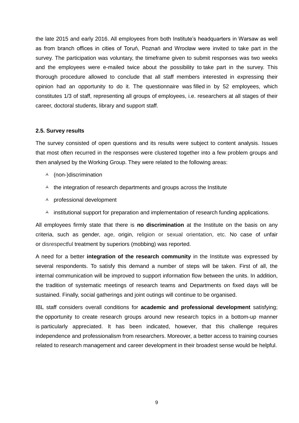the late 2015 and early 2016. All employees from both Institute's headquarters in Warsaw as well as from branch offices in cities of Toruń, Poznań and Wrocław were invited to take part in the survey. The participation was voluntary, the timeframe given to submit responses was two weeks and the employees were e-mailed twice about the possibility to take part in the survey. This thorough procedure allowed to conclude that all staff members interested in expressing their opinion had an opportunity to do it. The questionnaire was filled in by 52 employees, which constitutes 1/3 of staff, representing all groups of employees, i.e. researchers at all stages of their career, doctoral students, library and support staff.

## <span id="page-8-0"></span>**2.5. Survey results**

The survey consisted of open questions and its results were subject to content analysis. Issues that most often recurred in the responses were clustered together into a few problem groups and then analysed by the Working Group. They were related to the following areas:

- $\uparrow$  (non-)discrimination
- $\triangle$  the integration of research departments and groups across the Institute
- $\uparrow$  professional development
- $\lambda$  institutional support for preparation and implementation of research funding applications.

All employees firmly state that there is **no discrimination** at the Institute on the basis on any criteria, such as gender, age, origin, religion or sexual orientation, etc. No case of unfair or disrespectful treatment by superiors (mobbing) was reported.

A need for a better **integration of the research community** in the Institute was expressed by several respondents. To satisfy this demand a number of steps will be taken. First of all, the internal communication will be improved to support information flow between the units. In addition, the tradition of systematic meetings of research teams and Departments on fixed days will be sustained. Finally, social gatherings and joint outings will continue to be organised.

IBL staff considers overall conditions for **academic and professional development** satisfying; the opportunity to create research groups around new research topics in a bottom-up manner is particularly appreciated. It has been indicated, however, that this challenge requires independence and professionalism from researchers. Moreover, a better access to training courses related to research management and career development in their broadest sense would be helpful.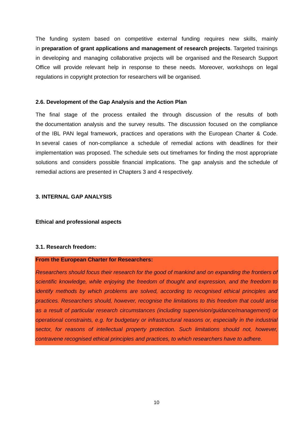The funding system based on competitive external funding requires new skills, mainly in **preparation of grant applications and management of research projects**. Targeted trainings in developing and managing collaborative projects will be organised and the Research Support Office will provide relevant help in response to these needs. Moreover, workshops on legal regulations in copyright protection for researchers will be organised.

#### <span id="page-9-0"></span>**2.6. Development of the Gap Analysis and the Action Plan**

The final stage of the process entailed the through discussion of the results of both the documentation analysis and the survey results. The discussion focused on the compliance of the IBL PAN legal framework, practices and operations with the European Charter & Code. In several cases of non-compliance a schedule of remedial actions with deadlines for their implementation was proposed. The schedule sets out timeframes for finding the most appropriate solutions and considers possible financial implications. The gap analysis and the schedule of remedial actions are presented in Chapters 3 and 4 respectively.

## <span id="page-9-1"></span>**3. INTERNAL GAP ANALYSIS**

<span id="page-9-2"></span>**Ethical and professional aspects**

## <span id="page-9-3"></span>**3.1. Research freedom:**

#### **From the European Charter for Researchers:**

*Researchers should focus their research for the good of mankind and on expanding the frontiers of scientific knowledge, while enjoying the freedom of thought and expression, and the freedom to identify methods by which problems are solved, according to recognised ethical principles and practices. Researchers should, however, recognise the limitations to this freedom that could arise as a result of particular research circumstances (including supervision/guidance/management) or operational constraints, e.g. for budgetary or infrastructural reasons or, especially in the industrial sector, for reasons of intellectual property protection. Such limitations should not, however, contravene recognised ethical principles and practices, to which researchers have to adhere.*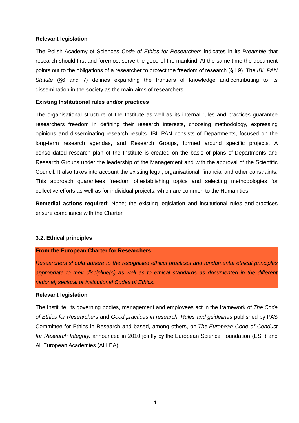## **Relevant legislation**

The Polish Academy of Sciences *Code of Ethics for Researchers* indicates in its *Preamble* that research should first and foremost serve the good of the mankind. At the same time the document points out to the obligations of a researcher to protect the freedom of research (§1.9). The *IBL PAN Statute* (§6 and 7) defines expanding the frontiers of knowledge and contributing to its dissemination in the society as the main aims of researchers.

## **Existing Institutional rules and/or practices**

The organisational structure of the Institute as well as its internal rules and practices guarantee researchers freedom in defining their research interests, choosing methodology, expressing opinions and disseminating research results. IBL PAN consists of Departments, focused on the long-term research agendas, and Research Groups, formed around specific projects. A consolidated research plan of the Institute is created on the basis of plans of Departments and Research Groups under the leadership of the Management and with the approval of the Scientific Council. It also takes into account the existing legal, organisational, financial and other constraints. This approach guarantees freedom of establishing topics and selecting methodologies for collective efforts as well as for individual projects, which are common to the Humanities.

**Remedial actions required**: None; the existing legislation and institutional rules and practices ensure compliance with the Charter.

#### <span id="page-10-0"></span>**3.2. Ethical principles**

#### **From the European Charter for Researchers:**

*Researchers should adhere to the recognised ethical practices and fundamental ethical principles appropriate to their discipline(s) as well as to ethical standards as documented in the different national, sectoral or institutional Codes of Ethics.*

#### **Relevant legislation**

The Institute, its governing bodies, management and employees act in the framework of *The Code of Ethics for Researchers* and *Good practices in research. Rules and guidelines* published by PAS Committee for Ethics in Research and based, among others, on *The European Code of Conduct for Research Integrity,* announced in 2010 jointly by the European Science Foundation (ESF) and All European Academies (ALLEA).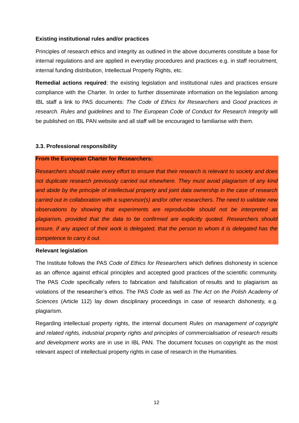## **Existing institutional rules and/or practices**

Principles of research ethics and integrity as outlined in the above documents constitute a base for internal regulations and are applied in everyday procedures and practices e.g. in staff recruitment, internal funding distribution, Intellectual Property Rights, etc.

**Remedial actions required**: the existing legislation and institutional rules and practices ensure compliance with the Charter. In order to further disseminate information on the legislation among IBL staff a link to PAS documents: *The Code of Ethics for Researchers* and *Good practices in research. Rules and guidelines* and to *The European Code of Conduct for Research Integrity* will be published on IBL PAN website and all staff will be encouraged to familiarise with them.

## <span id="page-11-0"></span>**3.3. Professional responsibility**

## **From the European Charter for Researchers:**

*Researchers should make every effort to ensure that their research is relevant to society and does not duplicate research previously carried out elsewhere. They must avoid plagiarism of any kind and abide by the principle of intellectual property and joint data ownership in the case of research carried out in collaboration with a supervisor(s) and/or other researchers. The need to validate new observations by showing that experiments are reproducible should not be interpreted as plagiarism, provided that the data to be confirmed are explicitly quoted. Researchers should ensure, if any aspect of their work is delegated, that the person to whom it is delegated has the competence to carry it out.* 

## **Relevant legislation**

The Institute follows the PAS *Code of Ethics for Researchers* which defines dishonesty in science as an offence against ethical principles and accepted good practices of the scientific community. The PAS *Code* specifically refers to fabrication and falsification of results and to plagiarism as violations of the researcher's ethos. The PAS *Code* as well as *The Act on the Polish Academy of Sciences* (Article 112) lay down disciplinary proceedings in case of research dishonesty, e.g. plagiarism.

Regarding intellectual property rights, the internal document *Rules on management of copyright and related rights, industrial property rights and principles of commercialisation of research results and development works* are in use in IBL PAN. The document focuses on copyright as the most relevant aspect of intellectual property rights in case of research in the Humanities.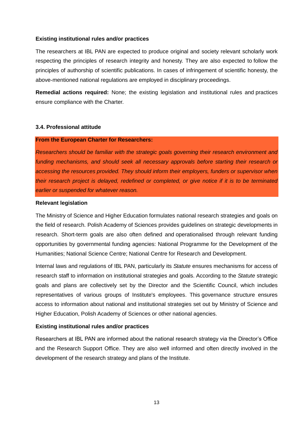## **Existing institutional rules and/or practices**

The researchers at IBL PAN are expected to produce original and society relevant scholarly work respecting the principles of research integrity and honesty. They are also expected to follow the principles of authorship of scientific publications. In cases of infringement of scientific honesty, the above-mentioned national regulations are employed in disciplinary proceedings.

**Remedial actions required:** None; the existing legislation and institutional rules and practices ensure compliance with the Charter.

## <span id="page-12-0"></span>**3.4. Professional attitude**

#### **From the European Charter for Researchers:**

*Researchers should be familiar with the strategic goals governing their research environment and funding mechanisms, and should seek all necessary approvals before starting their research or accessing the resources provided. They should inform their employers, funders or supervisor when their research project is delayed, redefined or completed, or give notice if it is to be terminated earlier or suspended for whatever reason.* 

## **Relevant legislation**

The Ministry of Science and Higher Education formulates national research strategies and goals on the field of research. Polish Academy of Sciences provides guidelines on strategic developments in research. Short-term goals are also often defined and operationalised through relevant funding opportunities by governmental funding agencies: National Programme for the Development of the Humanities; National Science Centre; National Centre for Research and Development.

Internal laws and regulations of IBL PAN, particularly its *Statute* ensures mechanisms for access of research staff to information on institutional strategies and goals. According to the *Statute* strategic goals and plans are collectively set by the Director and the Scientific Council, which includes representatives of various groups of Institute's employees. This governance structure ensures access to information about national and institutional strategies set out by Ministry of Science and Higher Education, Polish Academy of Sciences or other national agencies.

## **Existing institutional rules and/or practices**

Researchers at IBL PAN are informed about the national research strategy via the Director's Office and the Research Support Office. They are also well informed and often directly involved in the development of the research strategy and plans of the Institute.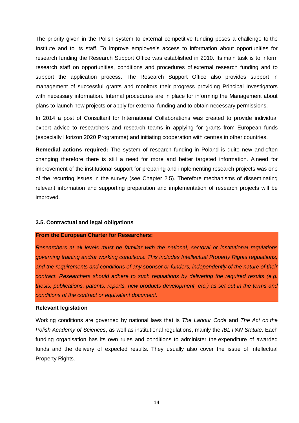The priority given in the Polish system to external competitive funding poses a challenge to the Institute and to its staff. To improve employee's access to information about opportunities for research funding the Research Support Office was established in 2010. Its main task is to inform research staff on opportunities, conditions and procedures of external research funding and to support the application process. The Research Support Office also provides support in management of successful grants and monitors their progress providing Principal Investigators with necessary information. Internal procedures are in place for informing the Management about plans to launch new projects or apply for external funding and to obtain necessary permissions.

In 2014 a post of Consultant for International Collaborations was created to provide individual expert advice to researchers and research teams in applying for grants from European funds (especially Horizon 2020 Programme) and initiating cooperation with centres in other countries.

**Remedial actions required:** The system of research funding in Poland is quite new and often changing therefore there is still a need for more and better targeted information. A need for improvement of the institutional support for preparing and implementing research projects was one of the recurring issues in the survey (see Chapter 2.5). Therefore mechanisms of disseminating relevant information and supporting preparation and implementation of research projects will be improved.

#### <span id="page-13-0"></span>**3.5. Contractual and legal obligations**

#### **From the European Charter for Researchers:**

*Researchers at all levels must be familiar with the national, sectoral or institutional regulations governing training and/or working conditions. This includes Intellectual Property Rights regulations, and the requirements and conditions of any sponsor or funders, independently of the nature of their contract. Researchers should adhere to such regulations by delivering the required results (e.g. thesis, publications, patents, reports, new products development, etc.) as set out in the terms and conditions of the contract or equivalent document.* 

#### **Relevant legislation**

Working conditions are governed by national laws that is *The Labour Code* and *The Act on the Polish Academy of Sciences*, as well as institutional regulations, mainly the *IBL PAN Statute*. Each funding organisation has its own rules and conditions to administer the expenditure of awarded funds and the delivery of expected results. They usually also cover the issue of Intellectual Property Rights.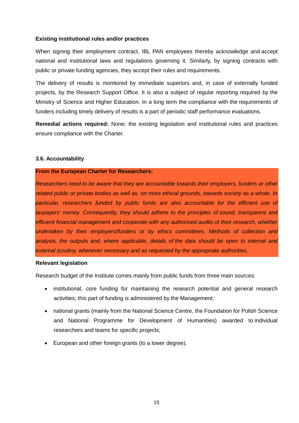## **Existing institutional rules and/or practices**

When signing their employment contract, IBL PAN employees thereby acknowledge and accept national and institutional laws and regulations governing it. Similarly, by signing contracts with public or private funding agencies, they accept their rules and requirements.

The delivery of results is monitored by immediate superiors and, in case of externally funded projects, by the Research Support Office. It is also a subject of regular reporting required by the Ministry of Science and Higher Education. In a long term the compliance with the requirements of funders including timely delivery of results is a part of periodic staff performance evaluations.

**Remedial actions required:** None; the existing legislation and institutional rules and practices ensure compliance with the Charter.

#### <span id="page-14-0"></span>**3.6. Accountability**

#### **From the European Charter for Researchers:**

*Researchers need to be aware that they are accountable towards their employers, funders or other related public or private bodies as well as, on more ethical grounds, towards society as a whole. In particular, researchers funded by public funds are also accountable for the efficient use of taxpayers' money. Consequently, they should adhere to the principles of sound, transparent and efficient financial management and cooperate with any authorised audits of their research, whether undertaken by their employers/funders or by ethics committees. Methods of collection and analysis, the outputs and, where applicable, details of the data should be open to internal and external scrutiny, whenever necessary and as requested by the appropriate authorities.* 

## **Relevant legislation**

Research budget of the Institute comes mainly from public funds from three main sources:

- institutional, core funding for maintaining the research potential and general research activities; this part of funding is administered by the Management;
- national grants (mainly from the National Science Centre, the Foundation for Polish Science and National Programme for Development of Humanities) awarded to individual researchers and teams for specific projects;
- European and other foreign grants (to a lower degree).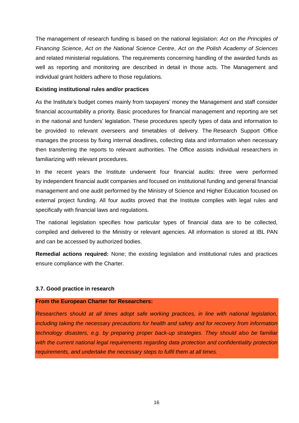The management of research funding is based on the national legislation: *[Act on the Principles of](http://www.nauka.gov.pl/g2/oryginal/2013_05/26574a32e5351daaf4c1bcd0bcab48b1.pdf)  [Financing Science](http://www.nauka.gov.pl/g2/oryginal/2013_05/26574a32e5351daaf4c1bcd0bcab48b1.pdf)*, *[Act on the National Science Centre](http://www.nauka.gov.pl/g2/oryginal/2013_05/83d60572b6d60c1fb0e92a7023cf996a.pdf)*, *[Act on the Polish Academy of Sciences](http://www.nauka.gov.pl/g2/oryginal/2013_05/3906ee68b66b4fd7467c26a0051488cc.pdf)* and related ministerial regulations. The requirements concerning handling of the awarded funds as well as reporting and monitoring are described in detail in those acts. The Management and individual grant holders adhere to those regulations.

## **Existing institutional rules and/or practices**

As the Institute's budget comes mainly from taxpayers' money the Management and staff consider financial accountability a priority. Basic procedures for financial management and reporting are set in the national and funders' legislation. These procedures specify types of data and information to be provided to relevant overseers and timetables of delivery. The Research Support Office manages the process by fixing internal deadlines, collecting data and information when necessary then transferring the reports to relevant authorities. The Office assists individual researchers in familiarizing with relevant procedures.

In the recent years the Institute underwent four financial audits: three were performed by independent financial audit companies and focused on institutional funding and general financial management and one audit performed by the Ministry of Science and Higher Education focused on external project funding. All four audits proved that the Institute complies with legal rules and specifically with financial laws and regulations.

The national legislation specifies how particular types of financial data are to be collected, compiled and delivered to the Ministry or relevant agencies. All information is stored at IBL PAN and can be accessed by authorized bodies.

**Remedial actions required:** None; the existing legislation and institutional rules and practices ensure compliance with the Charter.

## <span id="page-15-0"></span>**3.7. Good practice in research**

#### **From the European Charter for Researchers:**

*Researchers should at all times adopt safe working practices, in line with national legislation, including taking the necessary precautions for health and safety and for recovery from information technology disasters, e.g. by preparing proper back-up strategies. They should also be familiar with the current national legal requirements regarding data protection and confidentiality protection requirements, and undertake the necessary steps to fulfil them at all times.*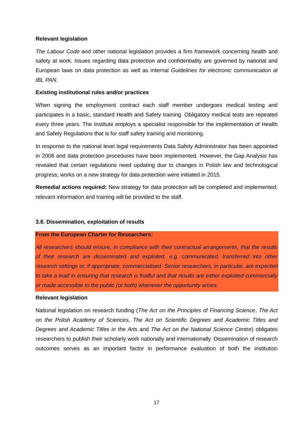## **Relevant legislation**

*The Labour Code* and other national legislation provides a firm framework concerning health and safety at work. Issues regarding data protection and confidentiality are governed by national and European laws on data protection as well as internal *Guidelines for electronic communication at IBL PAN*.

## **Existing institutional rules and/or practices**

When signing the employment contract each staff member undergoes medical testing and participates in a basic, standard Health and Safety training. Obligatory medical tests are repeated every three years. The Institute employs a specialist responsible for the implementation of Health and Safety Regulations that is for staff safety training and monitoring.

In response to the national level legal requirements Data Safety Administrator has been appointed in 2008 and data protection procedures have been implemented. However, the Gap Analysis has revealed that certain regulations need updating due to changes in Polish law and technological progress; works on a new strategy for data protection were initiated in 2015.

**Remedial actions required:** New strategy for data protection will be completed and implemented; relevant information and training will be provided to the staff.

#### <span id="page-16-0"></span>**3.8. Dissemination, exploitation of results**

#### **From the European Charter for Researchers:**

*All researchers should ensure, in compliance with their contractual arrangements, that the results of their research are disseminated and exploited, e.g. communicated, transferred into other research settings or, if appropriate, commercialised. Senior researchers, in particular, are expected to take a lead in ensuring that research is fruitful and that results are either exploited commercially or made accessible to the public (or both) whenever the opportunity arises.* 

#### **Relevant legislation**

National legislation on research funding (*The [Act on the Principles of Financing Science](http://www.nauka.gov.pl/g2/oryginal/2013_05/26574a32e5351daaf4c1bcd0bcab48b1.pdf)*, *The [Act](http://www.nauka.gov.pl/g2/oryginal/2013_05/3906ee68b66b4fd7467c26a0051488cc.pdf)  [on the Polish Academy of Sciences,](http://www.nauka.gov.pl/g2/oryginal/2013_05/3906ee68b66b4fd7467c26a0051488cc.pdf) The Act on Scientific Degrees and Academic Titles and Degrees and Academic Titles in the Arts* and *The [Act on the National Science Centre](http://www.nauka.gov.pl/g2/oryginal/2013_05/83d60572b6d60c1fb0e92a7023cf996a.pdf)*) obligates researchers to publish their scholarly work nationally and internationally. Dissemination of research outcomes serves as an important factor in performance evaluation of both the institution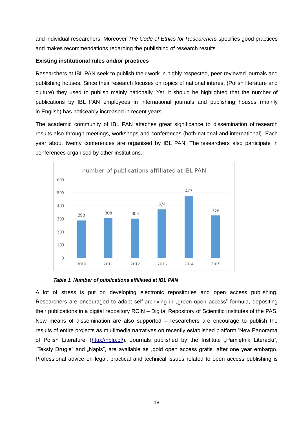and individual researchers. Moreover *The Code of Ethics for Researchers* specifies good practices and makes recommendations regarding the publishing of research results.

## **Existing institutional rules and/or practices**

Researchers at IBL PAN seek to publish their work in highly respected, peer-reviewed journals and publishing houses. Since their research focuses on topics of national interest (Polish literature and culture) they used to publish mainly nationally. Yet, it should be highlighted that the number of publications by IBL PAN employees in international journals and publishing houses (mainly in English) has noticeably increased in recent years.

The academic community of IBL PAN attaches great significance to dissemination of research results also through meetings, workshops and conferences (both national and international). Each year about twenty conferences are organised by IBL PAN. The researchers also participate in conferences organised by other institutions.





A lot of stress is put on developing electronic repositories and open access publishing. Researchers are encouraged to adopt self-archiving in "green open access" formula, depositing their publications in a digital repository RCIN – Digital Repository of Scientific Institutes of the PAS. New means of dissemination are also supported – researchers are encourage to publish the results of entire projects as multimedia narratives on recently established platform 'New Panorama of Polish Literature' [\(http://nplp.pl/\)](http://nplp.pl/). Journals published by the Institute "Pamietnik Literacki", "Teksty Drugie" and "Napis", are available as "gold open access gratis" after one year embargo. Professional advice on legal, practical and technical issues related to open access publishing is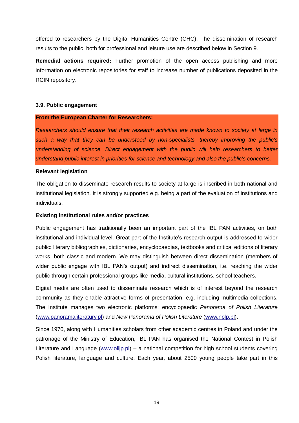offered to researchers by the Digital Humanities Centre (CHC). The dissemination of research results to the public, both for professional and leisure use are described below in Section 9.

**Remedial actions required:** Further promotion of the open access publishing and more information on electronic repositories for staff to increase number of publications deposited in the RCIN repository.

#### <span id="page-18-0"></span>**3.9. Public engagement**

## **From the European Charter for Researchers:**

*Researchers should ensure that their research activities are made known to society at large in such a way that they can be understood by non-specialists, thereby improving the public's understanding of science. Direct engagement with the public will help researchers to better understand public interest in priorities for science and technology and also the public's concerns.* 

## **Relevant legislation**

The obligation to disseminate research results to society at large is inscribed in both national and institutional legislation. It is strongly supported e.g. being a part of the evaluation of institutions and individuals.

## **Existing institutional rules and/or practices**

Public engagement has traditionally been an important part of the IBL PAN activities, on both institutional and individual level. Great part of the Institute's research output is addressed to wider public: literary bibliographies, dictionaries, encyclopaedias, textbooks and critical editions of literary works, both classic and modern. We may distinguish between direct dissemination (members of wider public engage with IBL PAN's output) and indirect dissemination, i.e. reaching the wider public through certain professional groups like media, cultural institutions, school teachers.

Digital media are often used to disseminate research which is of interest beyond the research community as they enable attractive forms of presentation, e.g. including multimedia collections. The Institute manages two electronic platforms: encyclopaedic *Panorama of Polish Literature* [\(www.panoramaliteratury.pl\)](http://www.panoramaliteratury.pl/) and *New Panorama of Polish Literature* [\(www.nplp.pl\)](http://www.nplp.pl/).

Since 1970, along with Humanities scholars from other academic centres in Poland and under the patronage of the Ministry of Education, IBL PAN has organised the National Contest in Polish Literature and Language [\(www.olijp.pl\)](http://www.olijp.pl/) – a national competition for high school students covering Polish literature, language and culture. Each year, about 2500 young people take part in this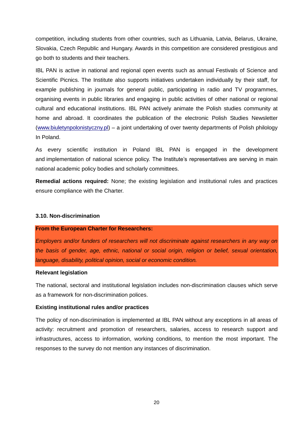competition, including students from other countries, such as Lithuania, Latvia, Belarus, Ukraine, Slovakia, Czech Republic and Hungary. Awards in this competition are considered prestigious and go both to students and their teachers.

IBL PAN is active in national and regional open events such as annual Festivals of Science and Scientific Picnics. The Institute also supports initiatives undertaken individually by their staff, for example publishing in journals for general public, participating in radio and TV programmes, organising events in public libraries and engaging in public activities of other national or regional cultural and educational institutions. IBL PAN actively animate the Polish studies community at home and abroad. It coordinates the publication of the electronic Polish Studies Newsletter [\(www.biuletynpolonistyczny.pl\)](http://www.biuletynpolonistyczny.pl/) – a joint undertaking of over twenty departments of Polish philology In Poland.

As every scientific institution in Poland IBL PAN is engaged in the development and implementation of national science policy. The Institute's representatives are serving in main national academic policy bodies and scholarly committees.

**Remedial actions required:** None; the existing legislation and institutional rules and practices ensure compliance with the Charter.

## <span id="page-19-0"></span>**3.10. Non-discrimination**

#### **From the European Charter for Researchers:**

*Employers and/or funders of researchers will not discriminate against researchers in any way on the basis of gender, age, ethnic, national or social origin, religion or belief, sexual orientation, language, disability, political opinion, social or economic condition.* 

#### **Relevant legislation**

The national, sectoral and institutional legislation includes non-discrimination clauses which serve as a framework for non-discrimination polices.

## **Existing institutional rules and/or practices**

The policy of non-discrimination is implemented at IBL PAN without any exceptions in all areas of activity: recruitment and promotion of researchers, salaries, access to research support and infrastructures, access to information, working conditions, to mention the most important. The responses to the survey do not mention any instances of discrimination.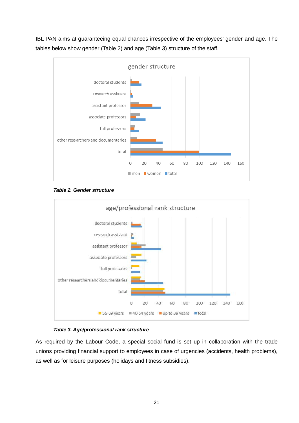IBL PAN aims at guaranteeing equal chances irrespective of the employees' gender and age. The tables below show gender (Table 2) and age (Table 3) structure of the staff.



*Table 2. Gender structure*



## *Table 3. Age/professional rank structure*

As required by the Labour Code, a special social fund is set up in collaboration with the trade unions providing financial support to employees in case of urgencies (accidents, health problems), as well as for leisure purposes (holidays and fitness subsidies).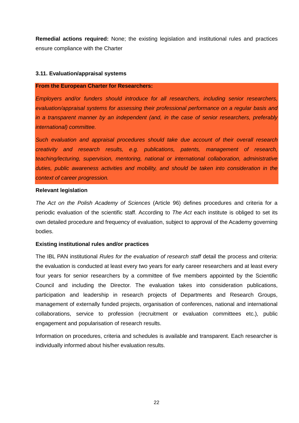**Remedial actions required:** None; the existing legislation and institutional rules and practices ensure compliance with the Charter

## <span id="page-21-0"></span>**3.11. Evaluation/appraisal systems**

#### **From the European Charter for Researchers:**

*Employers and/or funders should introduce for all researchers, including senior researchers, evaluation/appraisal systems for assessing their professional performance on a regular basis and in a transparent manner by an independent (and, in the case of senior researchers, preferably international) committee.* 

*Such evaluation and appraisal procedures should take due account of their overall research creativity and research results, e.g. publications, patents, management of research, teaching/lecturing, supervision, mentoring, national or international collaboration, administrative duties, public awareness activities and mobility, and should be taken into consideration in the context of career progression.* 

#### **Relevant legislation**

*The Act on the Polish Academy of Sciences* (Article 96) defines procedures and criteria for a periodic evaluation of the scientific staff. According to *The Act* each institute is obliged to set its own detailed procedure and frequency of evaluation, subject to approval of the Academy governing bodies.

#### **Existing institutional rules and/or practices**

The IBL PAN institutional *Rules for the evaluation of research staff* detail the process and criteria: the evaluation is conducted at least every two years for early career researchers and at least every four years for senior researchers by a committee of five members appointed by the Scientific Council and including the Director. The evaluation takes into consideration publications, participation and leadership in research projects of Departments and Research Groups, management of externally funded projects, organisation of conferences, national and international collaborations, service to profession (recruitment or evaluation committees etc.), public engagement and popularisation of research results.

Information on procedures, criteria and schedules is available and transparent. Each researcher is individually informed about his/her evaluation results.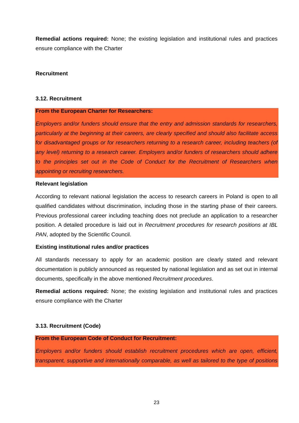**Remedial actions required:** None; the existing legislation and institutional rules and practices ensure compliance with the Charter

## <span id="page-22-0"></span>**Recruitment**

#### <span id="page-22-1"></span>**3.12. Recruitment**

#### **From the European Charter for Researchers:**

*Employers and/or funders should ensure that the entry and admission standards for researchers, particularly at the beginning at their careers, are clearly specified and should also facilitate access for disadvantaged groups or for researchers returning to a research career, including teachers (of any level) returning to a research career. Employers and/or funders of researchers should adhere to the principles set out in the Code of Conduct for the Recruitment of Researchers when appointing or recruiting researchers.* 

#### **Relevant legislation**

According to relevant national legislation the access to research careers in Poland is open to all qualified candidates without discrimination, including those in the starting phase of their careers. Previous professional career including teaching does not preclude an application to a researcher position. A detailed procedure is laid out in *Recruitment procedures for research positions at IBL PAN*, adopted by the Scientific Council.

#### **Existing institutional rules and/or practices**

All standards necessary to apply for an academic position are clearly stated and relevant documentation is publicly announced as requested by national legislation and as set out in internal documents, specifically in the above mentioned *Recruitment procedures*.

**Remedial actions required:** None; the existing legislation and institutional rules and practices ensure compliance with the Charter

#### <span id="page-22-2"></span>**3.13. Recruitment (Code)**

## **From the European Code of Conduct for Recruitment:**

*Employers and/or funders should establish recruitment procedures which are open, efficient, transparent, supportive and internationally comparable, as well as tailored to the type of positions*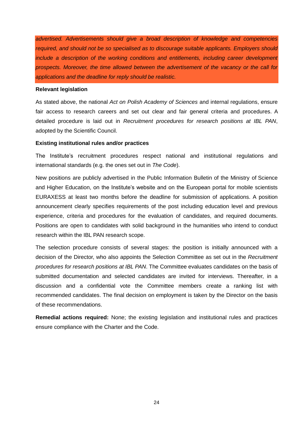*advertised. Advertisements should give a broad description of knowledge and competencies required, and should not be so specialised as to discourage suitable applicants. Employers should include a description of the working conditions and entitlements, including career development prospects. Moreover, the time allowed between the advertisement of the vacancy or the call for applications and the deadline for reply should be realistic.*

#### **Relevant legislation**

As stated above, the national *Act on Polish Academy of Sciences* and internal regulations, ensure fair access to research careers and set out clear and fair general criteria and procedures. A detailed procedure is laid out in *Recruitment procedures for research positions at IBL PAN*, adopted by the Scientific Council.

## **Existing institutional rules and/or practices**

The Institute's recruitment procedures respect national and institutional regulations and international standards (e.g. the ones set out in *The Code*).

New positions are publicly advertised in the Public Information Bulletin of the Ministry of Science and Higher Education, on the Institute's website and on the European portal for mobile scientists EURAXESS at least two months before the deadline for submission of applications. A position announcement clearly specifies requirements of the post including education level and previous experience, criteria and procedures for the evaluation of candidates, and required documents. Positions are open to candidates with solid background in the humanities who intend to conduct research within the IBL PAN research scope.

The selection procedure consists of several stages: the position is initially announced with a decision of the Director, who also appoints the Selection Committee as set out in the *Recruitment procedures for research positions at IBL PAN*. The Committee evaluates candidates on the basis of submitted documentation and selected candidates are invited for interviews. Thereafter, in a discussion and a confidential vote the Committee members create a ranking list with recommended candidates. The final decision on employment is taken by the Director on the basis of these recommendations.

**Remedial actions required:** None; the existing legislation and institutional rules and practices ensure compliance with the Charter and the Code.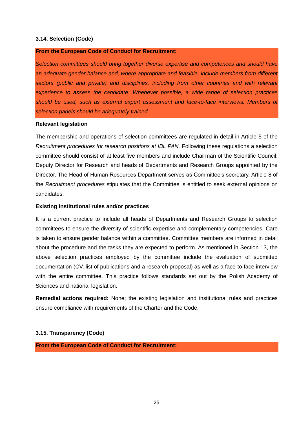## <span id="page-24-0"></span>**3.14. Selection (Code)**

## **From the European Code of Conduct for Recruitment:**

*Selection committees should bring together diverse expertise and competences and should have an adequate gender balance and, where appropriate and feasible, include members from different sectors (public and private) and disciplines, including from other countries and with relevant experience to assess the candidate. Whenever possible, a wide range of selection practices should be used, such as external expert assessment and face-to-face interviews. Members of selection panels should be adequately trained.*

#### **Relevant legislation**

The membership and operations of selection committees are regulated in detail in Article 5 of the *Recruitment procedures for research positions at IBL PAN.* Following these regulations a selection committee should consist of at least five members and include Chairman of the Scientific Council, Deputy Director for Research and heads of Departments and Research Groups appointed by the Director. The Head of Human Resources Department serves as Committee's secretary. Article 8 of the *Recruitment procedures* stipulates that the Committee is entitled to seek external opinions on candidates.

## **Existing institutional rules and/or practices**

It is a current practice to include all heads of Departments and Research Groups to selection committees to ensure the diversity of scientific expertise and complementary competencies. Care is taken to ensure gender balance within a committee. Committee members are informed in detail about the procedure and the tasks they are expected to perform. As mentioned in Section 13, the above selection practices employed by the committee include the evaluation of submitted documentation (CV, list of publications and a research proposal) as well as a face-to-face interview with the entire committee. This practice follows standards set out by the Polish Academy of Sciences and national legislation.

**Remedial actions required:** None; the existing legislation and institutional rules and practices ensure compliance with requirements of the Charter and the Code.

## <span id="page-24-1"></span>**3.15. Transparency (Code)**

**From the European Code of Conduct for Recruitment:**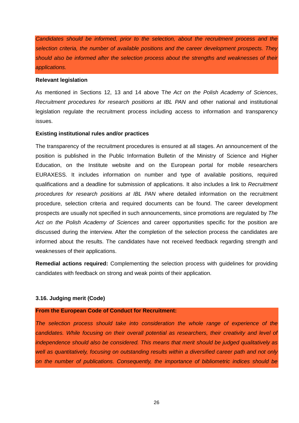*Candidates should be informed, prior to the selection, about the recruitment process and the selection criteria, the number of available positions and the career development prospects. They should also be informed after the selection process about the strengths and weaknesses of their applications.*

#### **Relevant legislation**

As mentioned in Sections 12, 13 and 14 above T*he Act on the Polish Academy of Sciences*, *Recruitment procedures for research positions at IBL PAN* and other national and institutional legislation regulate the recruitment process including access to information and transparency issues.

#### **Existing institutional rules and/or practices**

The transparency of the recruitment procedures is ensured at all stages. An announcement of the position is published in the Public Information Bulletin of the Ministry of Science and Higher Education, on the Institute website and on the European portal for mobile researchers EURAXESS. It includes information on number and type of available positions, required qualifications and a deadline for submission of applications. It also includes a link to *Recruitment procedures for research positions at IBL PAN* where detailed information on the recruitment procedure, selection criteria and required documents can be found. The career development prospects are usually not specified in such announcements, since promotions are regulated by *The Act on the Polish Academy of Sciences* and career opportunities specific for the position are discussed during the interview. After the completion of the selection process the candidates are informed about the results. The candidates have not received feedback regarding strength and weaknesses of their applications.

**Remedial actions required:** Complementing the selection process with guidelines for providing candidates with feedback on strong and weak points of their application.

#### <span id="page-25-0"></span>**3.16. Judging merit (Code)**

#### **From the European Code of Conduct for Recruitment:**

*The selection process should take into consideration the whole range of experience of the candidates. While focusing on their overall potential as researchers, their creativity and level of independence should also be considered. This means that merit should be judged qualitatively as well as quantitatively, focusing on outstanding results within a diversified career path and not only on the number of publications. Consequently, the importance of bibliometric indices should be*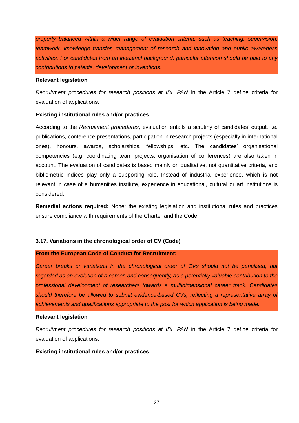*properly balanced within a wider range of evaluation criteria, such as teaching, supervision, teamwork, knowledge transfer, management of research and innovation and public awareness activities. For candidates from an industrial background, particular attention should be paid to any contributions to patents, development or inventions.*

#### **Relevant legislation**

*Recruitment procedures for research positions at IBL PAN* in the Article 7 define criteria for evaluation of applications.

## **Existing institutional rules and/or practices**

According to the *Recruitment procedures*, evaluation entails a scrutiny of candidates' output, i.e. publications, conference presentations, participation in research projects (especially in international ones), honours, awards, scholarships, fellowships, etc. The candidates' organisational competencies (e.g. coordinating team projects, organisation of conferences) are also taken in account. The evaluation of candidates is based mainly on qualitative, not quantitative criteria, and bibliometric indices play only a supporting role. Instead of industrial experience, which is not relevant in case of a humanities institute, experience in educational, cultural or art institutions is considered.

**Remedial actions required:** None; the existing legislation and institutional rules and practices ensure compliance with requirements of the Charter and the Code.

## <span id="page-26-0"></span>**3.17. Variations in the chronological order of CV (Code)**

## **From the European Code of Conduct for Recruitment:**

*Career breaks or variations in the chronological order of CVs should not be penalised, but regarded as an evolution of a career, and consequently, as a potentially valuable contribution to the professional development of researchers towards a multidimensional career track. Candidates should therefore be allowed to submit evidence-based CVs, reflecting a representative array of achievements and qualifications appropriate to the post for which application is being made.*

## **Relevant legislation**

*Recruitment procedures for research positions at IBL PAN* in the Article 7 define criteria for evaluation of applications.

## **Existing institutional rules and/or practices**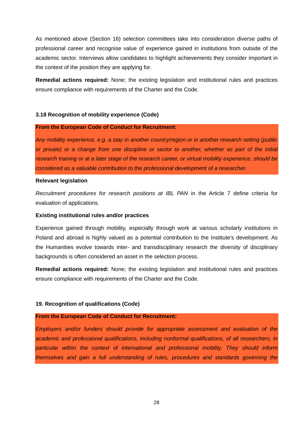As mentioned above (Section 16) selection committees take into consideration diverse paths of professional career and recognise value of experience gained in institutions from outside of the academic sector. Interviews allow candidates to highlight achievements they consider important in the context of the position they are applying for.

**Remedial actions required:** None; the existing legislation and institutional rules and practices ensure compliance with requirements of the Charter and the Code.

## <span id="page-27-0"></span>**3.18 Recognition of mobility experience (Code)**

#### **From the European Code of Conduct for Recruitment:**

*Any mobility experience, e.g. a stay in another country/region or in another research setting (public or private) or a change from one discipline or sector to another, whether as part of the initial research training or at a later stage of the research career, or virtual mobility experience, should be considered as a valuable contribution to the professional development of a researcher.*

## **Relevant legislation**

*Recruitment procedures for research positions at IBL PAN* in the Article 7 define criteria for evaluation of applications.

#### **Existing institutional rules and/or practices**

Experience gained through mobility, especially through work at various scholarly institutions in Poland and abroad is highly valued as a potential contribution to the Institute's development. As the Humanities evolve towards inter- and transdisciplinary research the diversity of disciplinary backgrounds is often considered an asset in the selection process.

**Remedial actions required:** None; the existing legislation and institutional rules and practices ensure compliance with requirements of the Charter and the Code.

#### <span id="page-27-1"></span>**19. Recognition of qualifications (Code)**

#### **From the European Code of Conduct for Recruitment:**

*Employers and/or funders should provide for appropriate assessment and evaluation of the academic and professional qualifications, including nonformal qualifications, of all researchers, in particular within the context of international and professional mobility. They should inform themselves and gain a full understanding of rules, procedures and standards governing the*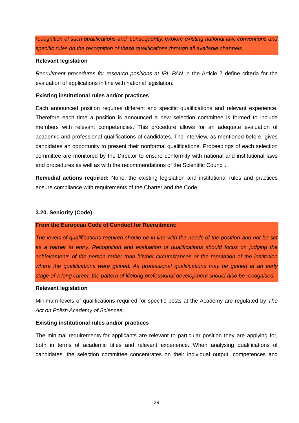*recognition of such qualifications and, consequently, explore existing national law, conventions and specific rules on the recognition of these qualifications through all available channels.*

## **Relevant legislation**

*Recruitment procedures for research positions at IBL PAN* in the Article 7 define criteria for the evaluation of applications in line with national legislation.

## **Existing institutional rules and/or practices**

Each announced position requires different and specific qualifications and relevant experience. Therefore each time a position is announced a new selection committee is formed to include members with relevant competencies. This procedure allows for an adequate evaluation of academic and professional qualifications of candidates. The interview, as mentioned before, gives candidates an opportunity to present their nonformal qualifications. Proceedings of each selection committee are monitored by the Director to ensure conformity with national and institutional laws and procedures as well as with the recommendations of the Scientific Council.

**Remedial actions required:** None; the existing legislation and institutional rules and practices ensure compliance with requirements of the Charter and the Code.

## <span id="page-28-0"></span>**3.20. Seniority (Code)**

## **From the European Code of Conduct for Recruitment:**

*The levels of qualifications required should be in line with the needs of the position and not be set as a barrier to entry. Recognition and evaluation of qualifications should focus on judging the achievements of the person rather than his/her circumstances or the reputation of the institution where the qualifications were gained. As professional qualifications may be gained at an early stage of a long career, the pattern of lifelong professional development should also be recognised.*

#### **Relevant legislation**

Minimum levels of qualifications required for specific posts at the Academy are regulated by *The Act on Polish Academy of Sciences*.

## **Existing institutional rules and/or practices**

The minimal requirements for applicants are relevant to particular position they are applying for, both in terms of academic titles and relevant experience. When analysing qualifications of candidates, the selection committee concentrates on their individual output, competences and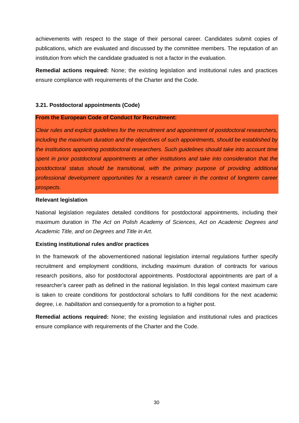achievements with respect to the stage of their personal career. Candidates submit copies of publications, which are evaluated and discussed by the committee members. The reputation of an institution from which the candidate graduated is not a factor in the evaluation.

**Remedial actions required:** None; the existing legislation and institutional rules and practices ensure compliance with requirements of the Charter and the Code.

## <span id="page-29-0"></span>**3.21. Postdoctoral appointments (Code)**

## **From the European Code of Conduct for Recruitment:**

*Clear rules and explicit guidelines for the recruitment and appointment of postdoctoral researchers, including the maximum duration and the objectives of such appointments, should be established by the institutions appointing postdoctoral researchers. Such guidelines should take into account time spent in prior postdoctoral appointments at other institutions and take into consideration that the postdoctoral status should be transitional, with the primary purpose of providing additional professional development opportunities for a research career in the context of longterm career prospects.*

## **Relevant legislation**

National legislation regulates detailed conditions for postdoctoral appointments, including their maximum duration in *The Act on Polish Academy of Sciences*, *Act on Academic Degrees and Academic Title, and on Degrees and Title in Art*.

## **Existing institutional rules and/or practices**

In the framework of the abovementioned national legislation internal regulations further specify recruitment and employment conditions, including maximum duration of contracts for various research positions, also for postdoctoral appointments. Postdoctoral appointments are part of a researcher's career path as defined in the national legislation. In this legal context maximum care is taken to create conditions for postdoctoral scholars to fulfil conditions for the next academic degree, i.e. *habilitation* and consequently for a promotion to a higher post.

**Remedial actions required:** None; the existing legislation and institutional rules and practices ensure compliance with requirements of the Charter and the Code.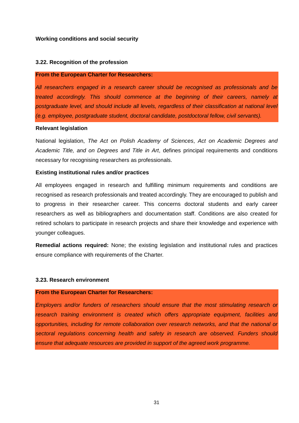## <span id="page-30-0"></span>**Working conditions and social security**

#### <span id="page-30-1"></span>**3.22. Recognition of the profession**

#### **From the European Charter for Researchers:**

*All researchers engaged in a research career should be recognised as professionals and be treated accordingly. This should commence at the beginning of their careers, namely at postgraduate level, and should include all levels, regardless of their classification at national level (e.g. employee, postgraduate student, doctoral candidate, postdoctoral fellow, civil servants).* 

#### **Relevant legislation**

National legislation, *The Act on Polish Academy of Sciences*, *Act on Academic Degrees and Academic Title, and on Degrees and Title in Art*, defines principal requirements and conditions necessary for recognising researchers as professionals.

## **Existing institutional rules and/or practices**

All employees engaged in research and fulfilling minimum requirements and conditions are recognised as research professionals and treated accordingly. They are encouraged to publish and to progress in their researcher career. This concerns doctoral students and early career researchers as well as bibliographers and documentation staff. Conditions are also created for retired scholars to participate in research projects and share their knowledge and experience with younger colleagues.

**Remedial actions required:** None; the existing legislation and institutional rules and practices ensure compliance with requirements of the Charter.

#### <span id="page-30-2"></span>**3.23. Research environment**

## **From the European Charter for Researchers:**

*Employers and/or funders of researchers should ensure that the most stimulating research or research training environment is created which offers appropriate equipment, facilities and opportunities, including for remote collaboration over research networks, and that the national or sectoral regulations concerning health and safety in research are observed. Funders should ensure that adequate resources are provided in support of the agreed work programme.*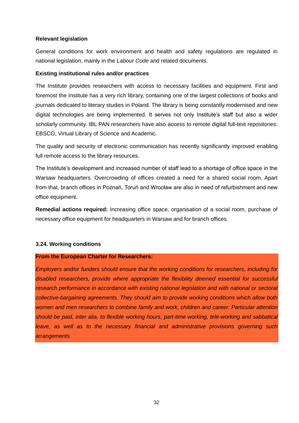## **Relevant legislation**

General conditions for work environment and health and safety regulations are regulated in national legislation, mainly in the *Labour Code* and related documents.

## **Existing institutional rules and/or practices**

The Institute provides researchers with access to necessary facilities and equipment. First and foremost the Institute has a very rich library, containing one of the largest collections of books and journals dedicated to literary studies in Poland. The library is being constantly modernised and new digital technologies are being implemented. It serves not only Institute's staff but also a wider scholarly community. IBL PAN researchers have also access to remote digital full-text repositories: EBSCO, Virtual Library of Science and Academic.

The quality and security of electronic communication has recently significantly improved enabling full remote access to the library resources.

The Institute's development and increased number of staff lead to a shortage of office space in the Warsaw headquarters. Overcrowding of offices created a need for a shared social room. Apart from that, branch offices in Poznań, Toruń and Wrocław are also in need of refurbishment and new office equipment.

**Remedial actions required:** Increasing office space, organisation of a social room, purchase of necessary office equipment for headquarters in Warsaw and for branch offices.

## <span id="page-31-0"></span>**3.24. Working conditions**

## **From the European Charter for Researchers:**

*Employers and/or funders should ensure that the working conditions for researchers, including for disabled researchers, provide where appropriate the flexibility deemed essential for successful research performance in accordance with existing national legislation and with national or sectoral collective-bargaining agreements. They should aim to provide working conditions which allow both women and men researchers to combine family and work, children and career. Particular attention should be paid, inter alia, to flexible working hours, part-time working, tele-working and sabbatical leave, as well as to the necessary financial and administrative provisions governing such arrangements.*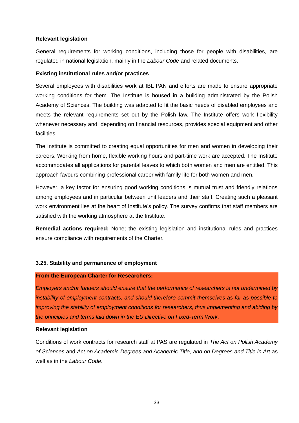## **Relevant legislation**

General requirements for working conditions, including those for people with disabilities, are regulated in national legislation, mainly in the *Labour Code* and related documents.

## **Existing institutional rules and/or practices**

Several employees with disabilities work at IBL PAN and efforts are made to ensure appropriate working conditions for them. The Institute is housed in a building administrated by the Polish Academy of Sciences. The building was adapted to fit the basic needs of disabled employees and meets the relevant requirements set out by the Polish law. The Institute offers work flexibility whenever necessary and, depending on financial resources, provides special equipment and other facilities.

The Institute is committed to creating equal opportunities for men and women in developing their careers. Working from home, flexible working hours and part-time work are accepted. The Institute accommodates all applications for parental leaves to which both women and men are entitled. This approach favours combining professional career with family life for both women and men.

However, a key factor for ensuring good working conditions is mutual trust and friendly relations among employees and in particular between unit leaders and their staff. Creating such a pleasant work environment lies at the heart of Institute's policy. The survey confirms that staff members are satisfied with the working atmosphere at the Institute.

**Remedial actions required:** None; the existing legislation and institutional rules and practices ensure compliance with requirements of the Charter.

#### <span id="page-32-0"></span>**3.25. Stability and permanence of employment**

## **From the European Charter for Researchers:**

*Employers and/or funders should ensure that the performance of researchers is not undermined by instability of employment contracts, and should therefore commit themselves as far as possible to improving the stability of employment conditions for researchers, thus implementing and abiding by the principles and terms laid down in the EU Directive on Fixed-Term Work.* 

#### **Relevant legislation**

Conditions of work contracts for research staff at PAS are regulated in *The Act on Polish Academy of Sciences* and *Act on Academic Degrees and Academic Title, and on Degrees and Title in Art* as well as in the *Labour Code*.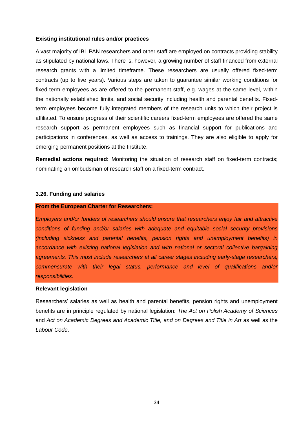#### **Existing institutional rules and/or practices**

A vast majority of IBL PAN researchers and other staff are employed on contracts providing stability as stipulated by national laws. There is, however, a growing number of staff financed from external research grants with a limited timeframe. These researchers are usually offered fixed-term contracts (up to five years). Various steps are taken to guarantee similar working conditions for fixed-term employees as are offered to the permanent staff, e.g. wages at the same level, within the nationally established limits, and social security including health and parental benefits. Fixedterm employees become fully integrated members of the research units to which their project is affiliated. To ensure progress of their scientific careers fixed-term employees are offered the same research support as permanent employees such as financial support for publications and participations in conferences, as well as access to trainings. They are also eligible to apply for emerging permanent positions at the Institute.

**Remedial actions required:** Monitoring the situation of research staff on fixed-term contracts; nominating an ombudsman of research staff on a fixed-term contract.

#### <span id="page-33-0"></span>**3.26. Funding and salaries**

## **From the European Charter for Researchers:**

*Employers and/or funders of researchers should ensure that researchers enjoy fair and attractive conditions of funding and/or salaries with adequate and equitable social security provisions (including sickness and parental benefits, pension rights and unemployment benefits) in accordance with existing national legislation and with national or sectoral collective bargaining agreements. This must include researchers at all career stages including early-stage researchers, commensurate with their legal status, performance and level of qualifications and/or responsibilities.* 

#### **Relevant legislation**

Researchers' salaries as well as health and parental benefits, pension rights and unemployment benefits are in principle regulated by national legislation: *The Act on Polish Academy of Sciences* and *Act on Academic Degrees and Academic Title, and on Degrees and Title in Art* as well as the *Labour Code*.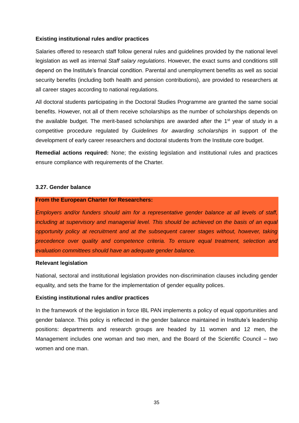## **Existing institutional rules and/or practices**

Salaries offered to research staff follow general rules and guidelines provided by the national level legislation as well as internal *Staff salary regulations*. However, the exact sums and conditions still depend on the Institute's financial condition. Parental and unemployment benefits as well as social security benefits (including both health and pension contributions), are provided to researchers at all career stages according to national regulations.

All doctoral students participating in the Doctoral Studies Programme are granted the same social benefits. However, not all of them receive scholarships as the number of scholarships depends on the available budget. The merit-based scholarships are awarded after the 1<sup>st</sup> year of study in a competitive procedure regulated by *Guidelines for awarding scholarships* in support of the development of early career researchers and doctoral students from the Institute core budget.

**Remedial actions required:** None; the existing legislation and institutional rules and practices ensure compliance with requirements of the Charter.

## <span id="page-34-0"></span>**3.27. Gender balance**

#### **From the European Charter for Researchers:**

*Employers and/or funders should aim for a representative gender balance at all levels of staff, including at supervisory and managerial level. This should be achieved on the basis of an equal opportunity policy at recruitment and at the subsequent career stages without, however, taking precedence over quality and competence criteria. To ensure equal treatment, selection and evaluation committees should have an adequate gender balance.* 

#### **Relevant legislation**

National, sectoral and institutional legislation provides non-discrimination clauses including gender equality, and sets the frame for the implementation of gender equality polices.

#### **Existing institutional rules and/or practices**

In the framework of the legislation in force IBL PAN implements a policy of equal opportunities and gender balance. This policy is reflected in the gender balance maintained in Institute's leadership positions: departments and research groups are headed by 11 women and 12 men, the Management includes one woman and two men, and the Board of the Scientific Council – two women and one man.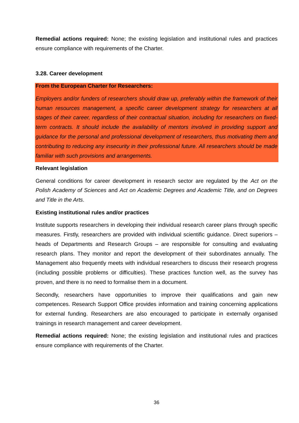**Remedial actions required:** None; the existing legislation and institutional rules and practices ensure compliance with requirements of the Charter.

## <span id="page-35-0"></span>**3.28. Career development**

#### **From the European Charter for Researchers:**

*Employers and/or funders of researchers should draw up, preferably within the framework of their human resources management, a specific career development strategy for researchers at all stages of their career, regardless of their contractual situation, including for researchers on fixedterm contracts. It should include the availability of mentors involved in providing support and guidance for the personal and professional development of researchers, thus motivating them and contributing to reducing any insecurity in their professional future. All researchers should be made familiar with such provisions and arrangements.* 

#### **Relevant legislation**

General conditions for career development in research sector are regulated by the *Act on the Polish Academy of Sciences* and *Act on Academic Degrees and Academic Title, and on Degrees and Title in the Arts*.

#### **Existing institutional rules and/or practices**

Institute supports researchers in developing their individual research career plans through specific measures. Firstly, researchers are provided with individual scientific guidance. Direct superiors – heads of Departments and Research Groups – are responsible for consulting and evaluating research plans. They monitor and report the development of their subordinates annually. The Management also frequently meets with individual researchers to discuss their research progress (including possible problems or difficulties). These practices function well, as the survey has proven, and there is no need to formalise them in a document.

Secondly, researchers have opportunities to improve their qualifications and gain new competences. Research Support Office provides information and training concerning applications for external funding. Researchers are also encouraged to participate in externally organised trainings in research management and career development.

**Remedial actions required:** None; the existing legislation and institutional rules and practices ensure compliance with requirements of the Charter.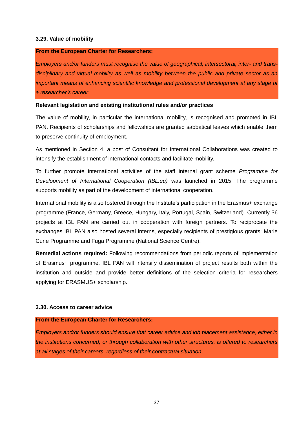## <span id="page-36-0"></span>**3.29. Value of mobility**

#### **From the European Charter for Researchers:**

*Employers and/or funders must recognise the value of geographical, intersectoral, inter- and transdisciplinary and virtual mobility as well as mobility between the public and private sector as an important means of enhancing scientific knowledge and professional development at any stage of a researcher's career.*

#### **Relevant legislation and existing institutional rules and/or practices**

The value of mobility, in particular the international mobility, is recognised and promoted in IBL PAN. Recipients of scholarships and fellowships are granted sabbatical leaves which enable them to preserve continuity of employment.

As mentioned in Section 4, a post of Consultant for International Collaborations was created to intensify the establishment of international contacts and facilitate mobility.

To further promote international activities of the staff internal grant scheme *Programme for Development of International Cooperation (IBL.eu)* was launched in 2015. The programme supports mobility as part of the development of international cooperation.

International mobility is also fostered through the Institute's participation in the Erasmus+ exchange programme (France, Germany, Greece, Hungary, Italy, Portugal, Spain, Switzerland). Currently 36 projects at IBL PAN are carried out in cooperation with foreign partners. To reciprocate the exchanges IBL PAN also hosted several interns, especially recipients of prestigious grants: Marie Curie Programme and Fuga Programme (National Science Centre).

**Remedial actions required:** Following recommendations from periodic reports of implementation of Erasmus+ programme, IBL PAN will intensify dissemination of project results both within the institution and outside and provide better definitions of the selection criteria for researchers applying for ERASMUS+ scholarship.

#### <span id="page-36-1"></span>**3.30. Access to career advice**

#### **From the European Charter for Researchers:**

*Employers and/or funders should ensure that career advice and job placement assistance, either in the institutions concerned, or through collaboration with other structures, is offered to researchers at all stages of their careers, regardless of their contractual situation.*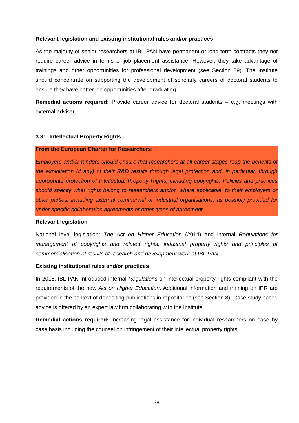## **Relevant legislation and existing institutional rules and/or practices**

As the majority of senior researchers at IBL PAN have permanent or long-term contracts they not require career advice in terms of job placement assistance. However, they take advantage of trainings and other opportunities for professional development (see Section 39). The Institute should concentrate on supporting the development of scholarly careers of doctoral students to ensure they have better job opportunities after graduating.

**Remedial actions required:** Provide career advice for doctoral students – e.g. meetings with external adviser.

#### <span id="page-37-0"></span>**3.31. Intellectual Property Rights**

#### **From the European Charter for Researchers:**

*Employers and/or funders should ensure that researchers at all career stages reap the benefits of the exploitation (if any) of their R&D results through legal protection and, in particular, through appropriate protection of Intellectual Property Rights, including copyrights. Policies and practices should specify what rights belong to researchers and/or, where applicable, to their employers or other parties, including external commercial or industrial organisations, as possibly provided for under specific collaboration agreements or other types of agreement.* 

## **Relevant legislation**

National level legislation: *The Act on Higher Education* (2014) and internal *Regulations for management of copyrights and related rights, industrial property rights and principles of commercialisation of results of research and development work at IBL PAN*.

#### **Existing institutional rules and/or practices**

In 2015, IBL PAN introduced internal *Regulations* on intellectual property rights compliant with the requirements of the new *Act on Higher Education*. Additional information and training on IPR are provided in the context of depositing publications in repositories (see Section 8). Case study based advice is offered by an expert law firm collaborating with the Institute.

**Remedial actions required:** Increasing legal assistance for individual researchers on case by case basis including the counsel on infringement of their intellectual property rights.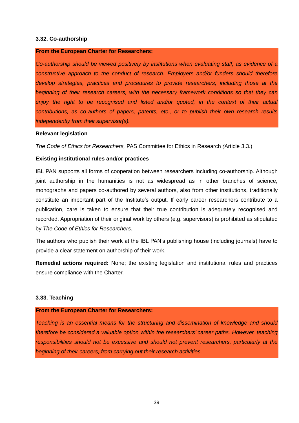## <span id="page-38-0"></span>**3.32. Co-authorship**

#### **From the European Charter for Researchers:**

*Co-authorship should be viewed positively by institutions when evaluating staff, as evidence of a constructive approach to the conduct of research. Employers and/or funders should therefore develop strategies, practices and procedures to provide researchers, including those at the beginning of their research careers, with the necessary framework conditions so that they can enjoy the right to be recognised and listed and/or quoted, in the context of their actual contributions, as co-authors of papers, patents, etc., or to publish their own research results independently from their supervisor(s).* 

#### **Relevant legislation**

*The Code of Ethics for Researchers,* PAS Committee for Ethics in Research *(*Article 3.3.)

#### **Existing institutional rules and/or practices**

IBL PAN supports all forms of cooperation between researchers including co-authorship. Although joint authorship in the humanities is not as widespread as in other branches of science, monographs and papers co-authored by several authors, also from other institutions, traditionally constitute an important part of the Institute's output. If early career researchers contribute to a publication, care is taken to ensure that their true contribution is adequately recognised and recorded. Appropriation of their original work by others (e.g. supervisors) is prohibited as stipulated by *The Code of Ethics for Researchers*.

The authors who publish their work at the IBL PAN's publishing house (including journals) have to provide a clear statement on authorship of their work.

**Remedial actions required:** None; the existing legislation and institutional rules and practices ensure compliance with the Charter.

#### <span id="page-38-1"></span>**3.33. Teaching**

## **From the European Charter for Researchers:**

*Teaching is an essential means for the structuring and dissemination of knowledge and should therefore be considered a valuable option within the researchers' career paths. However, teaching responsibilities should not be excessive and should not prevent researchers, particularly at the beginning of their careers, from carrying out their research activities.*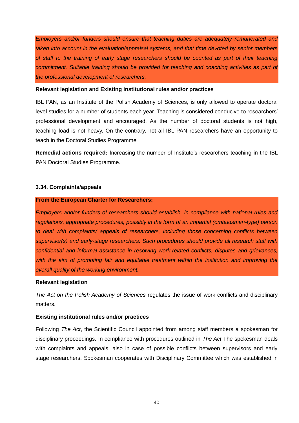*Employers and/or funders should ensure that teaching duties are adequately remunerated and taken into account in the evaluation/appraisal systems, and that time devoted by senior members of staff to the training of early stage researchers should be counted as part of their teaching commitment. Suitable training should be provided for teaching and coaching activities as part of the professional development of researchers.* 

#### **Relevant legislation and Existing institutional rules and/or practices**

IBL PAN, as an Institute of the Polish Academy of Sciences, is only allowed to operate doctoral level studies for a number of students each year. Teaching is considered conducive to researchers' professional development and encouraged. As the number of doctoral students is not high, teaching load is not heavy. On the contrary, not all IBL PAN researchers have an opportunity to teach in the Doctoral Studies Programme

**Remedial actions required:** Increasing the number of Institute's researchers teaching in the IBL PAN Doctoral Studies Programme.

## <span id="page-39-0"></span>**3.34. Complaints/appeals**

#### **From the European Charter for Researchers:**

*Employers and/or funders of researchers should establish, in compliance with national rules and regulations, appropriate procedures, possibly in the form of an impartial (ombudsman-type) person to deal with complaints/ appeals of researchers, including those concerning conflicts between supervisor(s) and early-stage researchers. Such procedures should provide all research staff with confidential and informal assistance in resolving work-related conflicts, disputes and grievances, with the aim of promoting fair and equitable treatment within the institution and improving the overall quality of the working environment.* 

#### **Relevant legislation**

*The Act on the Polish Academy of Sciences* regulates the issue of work conflicts and disciplinary matters.

## **Existing institutional rules and/or practices**

Following *The Act*, the Scientific Council appointed from among staff members a spokesman for disciplinary proceedings. In compliance with procedures outlined in *The Act* The spokesman deals with complaints and appeals, also in case of possible conflicts between supervisors and early stage researchers. Spokesman cooperates with Disciplinary Committee which was established in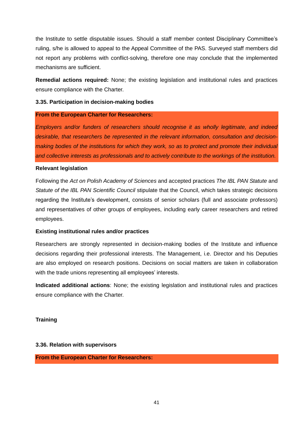the Institute to settle disputable issues. Should a staff member contest Disciplinary Committee's ruling, s/he is allowed to appeal to the Appeal Committee of the PAS. Surveyed staff members did not report any problems with conflict-solving, therefore one may conclude that the implemented mechanisms are sufficient.

**Remedial actions required:** None; the existing legislation and institutional rules and practices ensure compliance with the Charter.

## <span id="page-40-0"></span>**3.35. Participation in decision-making bodies**

## **From the European Charter for Researchers:**

*Employers and/or funders of researchers should recognise it as wholly legitimate, and indeed desirable, that researchers be represented in the relevant information, consultation and decisionmaking bodies of the institutions for which they work, so as to protect and promote their individual and collective interests as professionals and to actively contribute to the workings of the institution.* 

## **Relevant legislation**

Following the *Act on Polish Academy of Sciences* and accepted practices *The IBL PAN Statute* and *Statute of the IBL PAN Scientific Council* stipulate that the Council, which takes strategic decisions regarding the Institute's development, consists of senior scholars (full and associate professors) and representatives of other groups of employees, including early career researchers and retired employees.

## **Existing institutional rules and/or practices**

Researchers are strongly represented in decision-making bodies of the Institute and influence decisions regarding their professional interests. The Management, i.e. Director and his Deputies are also employed on research positions. Decisions on social matters are taken in collaboration with the trade unions representing all employees' interests.

**Indicated additional actions**: None; the existing legislation and institutional rules and practices ensure compliance with the Charter.

## **Training**

## <span id="page-40-1"></span>**3.36. Relation with supervisors**

**From the European Charter for Researchers:**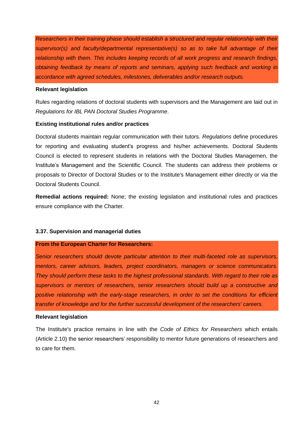*Researchers in their training phase should establish a structured and regular relationship with their supervisor(s) and faculty/departmental representative(s) so as to take full advantage of their relationship with them. This includes keeping records of all work progress and research findings, obtaining feedback by means of reports and seminars, applying such feedback and working in accordance with agreed schedules, milestones, deliverables and/or research outputs.* 

## **Relevant legislation**

Rules regarding relations of doctoral students with supervisors and the Management are laid out in *Regulations for IBL PAN Doctoral Studies Programme*.

## **Existing institutional rules and/or practices**

Doctoral students maintain regular communication with their tutors. *Regulations* define procedures for reporting and evaluating student's progress and his/her achievements. Doctoral Students Council is elected to represent students in relations with the Doctoral Studies Managemen, the Institute's Management and the Scientific Council. The students can address their problems or proposals to Director of Doctoral Studies or to the Institute's Management either directly or via the Doctoral Students Council.

**Remedial actions required:** None; the existing legislation and institutional rules and practices ensure compliance with the Charter.

## <span id="page-41-0"></span>**3.37. Supervision and managerial duties**

#### **From the European Charter for Researchers:**

*Senior researchers should devote particular attention to their multi-faceted role as supervisors, mentors, career advisors, leaders, project coordinators, managers or science communicators. They should perform these tasks to the highest professional standards. With regard to their role as supervisors or mentors of researchers, senior researchers should build up a constructive and positive relationship with the early-stage researchers, in order to set the conditions for efficient transfer of knowledge and for the further successful development of the researchers' careers.* 

#### **Relevant legislation**

The Institute's practice remains in line with the *Code of Ethics for Researchers* which entails (Article 2.10) the senior researchers' responsibility to mentor future generations of researchers and to care for them.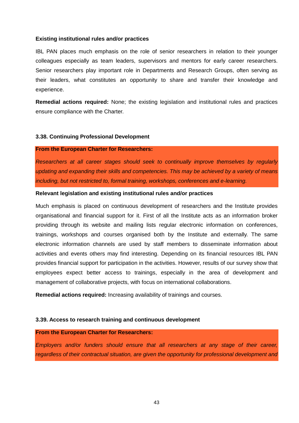#### **Existing institutional rules and/or practices**

IBL PAN places much emphasis on the role of senior researchers in relation to their younger colleagues especially as team leaders, supervisors and mentors for early career researchers. Senior researchers play important role in Departments and Research Groups, often serving as their leaders, what constitutes an opportunity to share and transfer their knowledge and experience.

**Remedial actions required:** None; the existing legislation and institutional rules and practices ensure compliance with the Charter.

## <span id="page-42-0"></span>**3.38. Continuing Professional Development**

#### **From the European Charter for Researchers:**

*Researchers at all career stages should seek to continually improve themselves by regularly updating and expanding their skills and competencies. This may be achieved by a variety of means including, but not restricted to, formal training, workshops, conferences and e-learning.* 

#### **Relevant legislation and existing institutional rules and/or practices**

Much emphasis is placed on continuous development of researchers and the Institute provides organisational and financial support for it. First of all the Institute acts as an information broker providing through its website and mailing lists regular electronic information on conferences, trainings, workshops and courses organised both by the Institute and externally. The same electronic information channels are used by staff members to disseminate information about activities and events others may find interesting. Depending on its financial resources IBL PAN provides financial support for participation in the activities. However, results of our survey show that employees expect better access to trainings, especially in the area of development and management of collaborative projects, with focus on international collaborations.

**Remedial actions required:** Increasing availability of trainings and courses.

#### <span id="page-42-1"></span>**3.39. Access to research training and continuous development**

#### **From the European Charter for Researchers:**

*Employers and/or funders should ensure that all researchers at any stage of their career, regardless of their contractual situation, are given the opportunity for professional development and*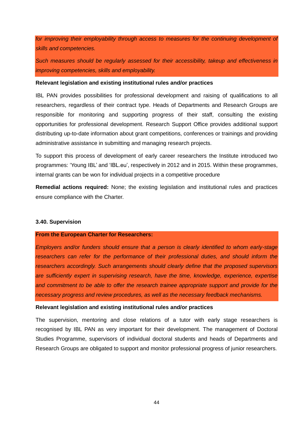for improving their employability through access to measures for the continuing development of *skills and competencies.* 

*Such measures should be regularly assessed for their accessibility, takeup and effectiveness in improving competencies, skills and employability.*

#### **Relevant legislation and existing institutional rules and/or practices**

IBL PAN provides possibilities for professional development and raising of qualifications to all researchers, regardless of their contract type. Heads of Departments and Research Groups are responsible for monitoring and supporting progress of their staff, consulting the existing opportunities for professional development. Research Support Office provides additional support distributing up-to-date information about grant competitions, conferences or trainings and providing administrative assistance in submitting and managing research projects.

To support this process of development of early career researchers the Institute introduced two programmes: 'Young IBL' and 'IBL.eu', respectively in 2012 and in 2015. Within these programmes, internal grants can be won for individual projects in a competitive procedure

**Remedial actions required:** None; the existing legislation and institutional rules and practices ensure compliance with the Charter.

#### <span id="page-43-0"></span>**3.40. Supervision**

#### **From the European Charter for Researchers:**

*Employers and/or funders should ensure that a person is clearly identified to whom early-stage researchers can refer for the performance of their professional duties, and should inform the researchers accordingly. Such arrangements should clearly define that the proposed supervisors are sufficiently expert in supervising research, have the time, knowledge, experience, expertise and commitment to be able to offer the research trainee appropriate support and provide for the necessary progress and review procedures, as well as the necessary feedback mechanisms.* 

#### **Relevant legislation and existing institutional rules and/or practices**

The supervision, mentoring and close relations of a tutor with early stage researchers is recognised by IBL PAN as very important for their development. The management of Doctoral Studies Programme, supervisors of individual doctoral students and heads of Departments and Research Groups are obligated to support and monitor professional progress of junior researchers.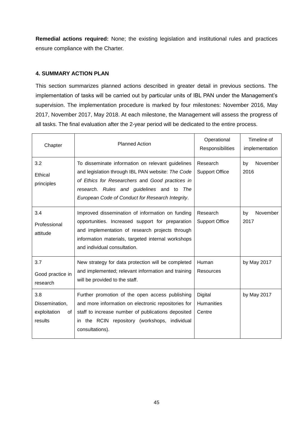**Remedial actions required:** None; the existing legislation and institutional rules and practices ensure compliance with the Charter.

## <span id="page-44-0"></span>**4. SUMMARY ACTION PLAN**

This section summarizes planned actions described in greater detail in previous sections. The implementation of tasks will be carried out by particular units of IBL PAN under the Management's supervision. The implementation procedure is marked by four milestones: November 2016, May 2017, November 2017, May 2018. At each milestone, the Management will assess the progress of all tasks. The final evaluation after the 2-year period will be dedicated to the entire process.

| Chapter                                                | <b>Planned Action</b>                                                                                                                                                                                                                                      | Operational<br>Responsibilities        | Timeline of<br>implementation |
|--------------------------------------------------------|------------------------------------------------------------------------------------------------------------------------------------------------------------------------------------------------------------------------------------------------------------|----------------------------------------|-------------------------------|
| 3.2<br>Ethical<br>principles                           | To disseminate information on relevant guidelines<br>and legislation through IBL PAN website: The Code<br>of Ethics for Researchers and Good practices in<br>research. Rules and guidelines and to The<br>European Code of Conduct for Research Integrity. | Research<br><b>Support Office</b>      | November<br>by<br>2016        |
| 3.4<br>Professional<br>attitude                        | Improved dissemination of information on funding<br>opportunities. Increased support for preparation<br>and implementation of research projects through<br>information materials, targeted internal workshops<br>and individual consultation.              | Research<br><b>Support Office</b>      | November<br>by<br>2017        |
| 3.7<br>Good practice in<br>research                    | New strategy for data protection will be completed<br>and implemented; relevant information and training<br>will be provided to the staff.                                                                                                                 | Human<br>Resources                     | by May 2017                   |
| 3.8<br>Dissemination,<br>exploitation<br>οf<br>results | Further promotion of the open access publishing<br>and more information on electronic repositories for<br>staff to increase number of publications deposited<br>in the RCIN repository (workshops, individual<br>consultations).                           | Digital<br><b>Humanities</b><br>Centre | by May 2017                   |